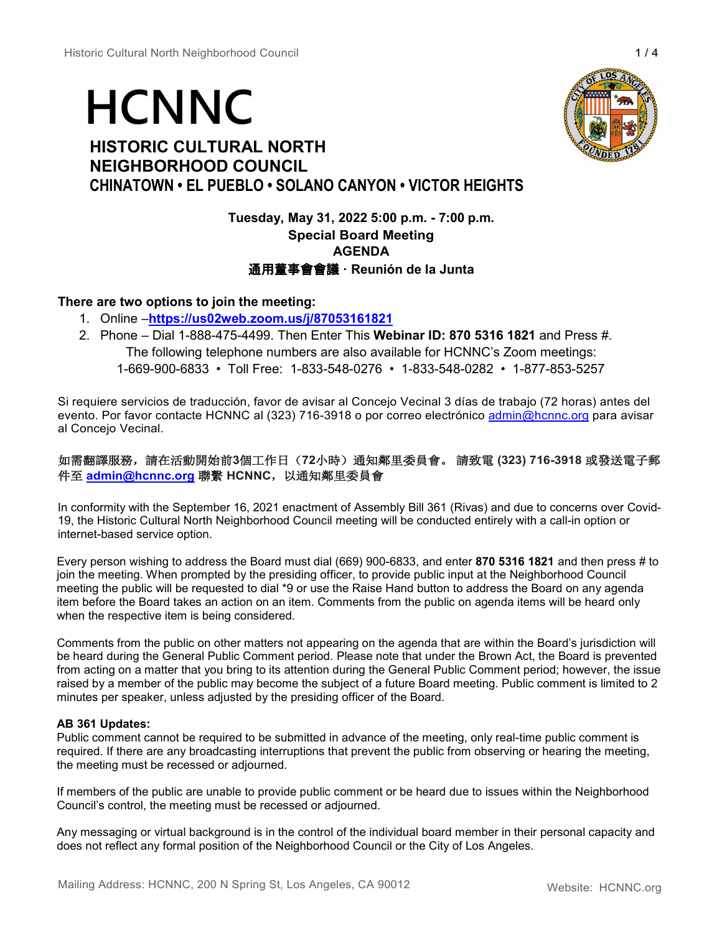# **HCNNC**

# **HISTORIC CULTURAL NORTH NEIGHBORHOOD COUNCIL CHINATOWN • EL PUEBLO • SOLANO CANYON • VICTOR HEIGHTS**

# **Tuesday, May 31, 2022 5:00 p.m. - 7:00 p.m. Special Board Meeting AGENDA** 通用董事會會議 **· Reunión de la Junta**

# **There are two options to join the meeting:**

- 1. Online –**<https://us02web.zoom.us/j/87053161821>**
- 2. Phone Dial 1-888-475-4499. Then Enter This **Webinar ID: 870 5316 1821** and Press #. The following telephone numbers are also available for HCNNC's Zoom meetings: 1-669-900-6833 • Toll Free: 1-833-548-0276 • 1-833-548-0282 • 1-877-853-5257

Si requiere servicios de traducción, favor de avisar al Concejo Vecinal 3 días de trabajo (72 horas) antes del evento. Por favor contacte HCNNC al (323) 716-3918 o por correo electrónico [admin@hcnnc.org](mailto:admin@hcnnc.org) para avisar al Concejo Vecinal.

## 如需翻譯服務,請在活動開始前**3**個工作日(**72**小時)通知鄰里委員會。 請致電 **(323) 716-3918** 或發送電子郵 件至 **[admin@hcnnc.org](mailto:admin@hcnnc.org)** 聯繫 **HCNNC**,以通知鄰里委員會

In conformity with the September 16, 2021 enactment of Assembly Bill 361 (Rivas) and due to concerns over Covid-19, the Historic Cultural North Neighborhood Council meeting will be conducted entirely with a call-in option or internet-based service option.

Every person wishing to address the Board must dial (669) 900-6833, and enter **870 5316 1821** and then press # to join the meeting. When prompted by the presiding officer, to provide public input at the Neighborhood Council meeting the public will be requested to dial \*9 or use the Raise Hand button to address the Board on any agenda item before the Board takes an action on an item. Comments from the public on agenda items will be heard only when the respective item is being considered.

Comments from the public on other matters not appearing on the agenda that are within the Board's jurisdiction will be heard during the General Public Comment period. Please note that under the Brown Act, the Board is prevented from acting on a matter that you bring to its attention during the General Public Comment period; however, the issue raised by a member of the public may become the subject of a future Board meeting. Public comment is limited to 2 minutes per speaker, unless adjusted by the presiding officer of the Board.

## **AB 361 Updates:**

Public comment cannot be required to be submitted in advance of the meeting, only real-time public comment is required. If there are any broadcasting interruptions that prevent the public from observing or hearing the meeting, the meeting must be recessed or adjourned.

If members of the public are unable to provide public comment or be heard due to issues within the Neighborhood Council's control, the meeting must be recessed or adjourned.

Any messaging or virtual background is in the control of the individual board member in their personal capacity and does not reflect any formal position of the Neighborhood Council or the City of Los Angeles.

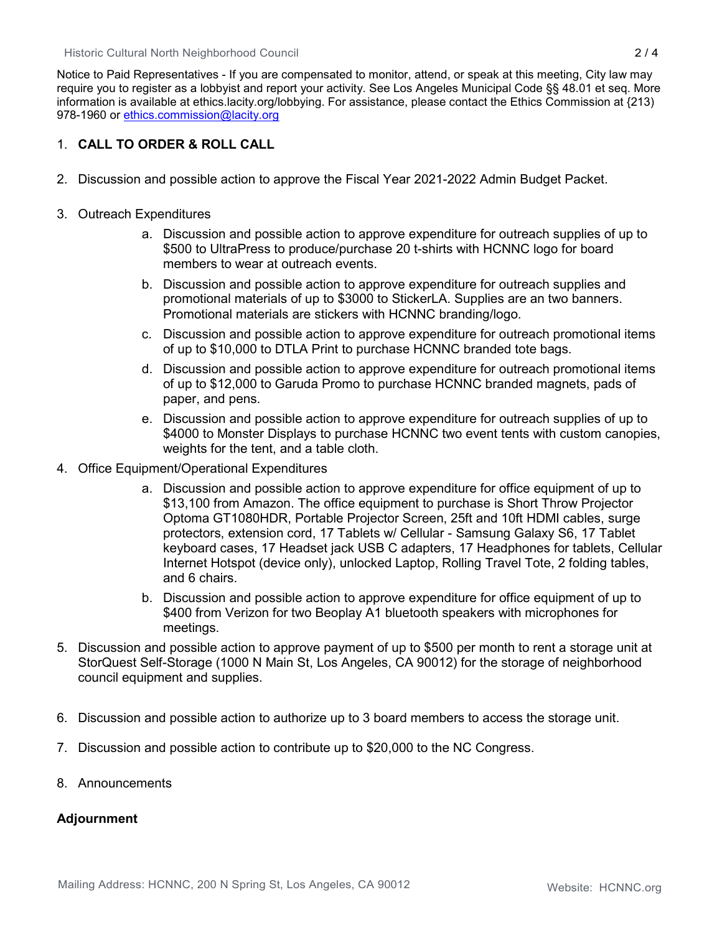Historic Cultural North Neighborhood Council 2 / 4

Notice to Paid Representatives - If you are compensated to monitor, attend, or speak at this meeting, City law may require you to register as a lobbyist and report your activity. See Los Angeles Municipal Code §§ 48.01 et seq. More information is available at ethics.lacity.org/lobbying. For assistance, please contact the Ethics Commission at {213) 978-1960 or [ethics.commission@lacity.org](mailto:ethics.commission@lacity.org)

# 1. **CALL TO ORDER & ROLL CALL**

- 2. Discussion and possible action to approve the Fiscal Year 2021-2022 Admin Budget Packet.
- 3. Outreach Expenditures
	- a. Discussion and possible action to approve expenditure for outreach supplies of up to \$500 to UltraPress to produce/purchase 20 t-shirts with HCNNC logo for board members to wear at outreach events.
	- b. Discussion and possible action to approve expenditure for outreach supplies and promotional materials of up to \$3000 to StickerLA. Supplies are an two banners. Promotional materials are stickers with HCNNC branding/logo.
	- c. Discussion and possible action to approve expenditure for outreach promotional items of up to \$10,000 to DTLA Print to purchase HCNNC branded tote bags.
	- d. Discussion and possible action to approve expenditure for outreach promotional items of up to \$12,000 to Garuda Promo to purchase HCNNC branded magnets, pads of paper, and pens.
	- e. Discussion and possible action to approve expenditure for outreach supplies of up to \$4000 to Monster Displays to purchase HCNNC two event tents with custom canopies, weights for the tent, and a table cloth.
- 4. Office Equipment/Operational Expenditures
	- a. Discussion and possible action to approve expenditure for office equipment of up to \$13,100 from Amazon. The office equipment to purchase is Short Throw Projector Optoma GT1080HDR, Portable Projector Screen, 25ft and 10ft HDMI cables, surge protectors, extension cord, 17 Tablets w/ Cellular - Samsung Galaxy S6, 17 Tablet keyboard cases, 17 Headset jack USB C adapters, 17 Headphones for tablets, Cellular Internet Hotspot (device only), unlocked Laptop, Rolling Travel Tote, 2 folding tables, and 6 chairs.
	- b. Discussion and possible action to approve expenditure for office equipment of up to \$400 from Verizon for two Beoplay A1 bluetooth speakers with microphones for meetings.
- 5. Discussion and possible action to approve payment of up to \$500 per month to rent a storage unit at StorQuest Self-Storage (1000 N Main St, Los Angeles, CA 90012) for the storage of neighborhood council equipment and supplies.
- 6. Discussion and possible action to authorize up to 3 board members to access the storage unit.
- 7. Discussion and possible action to contribute up to \$20,000 to the NC Congress.
- 8. Announcements

## **Adjournment**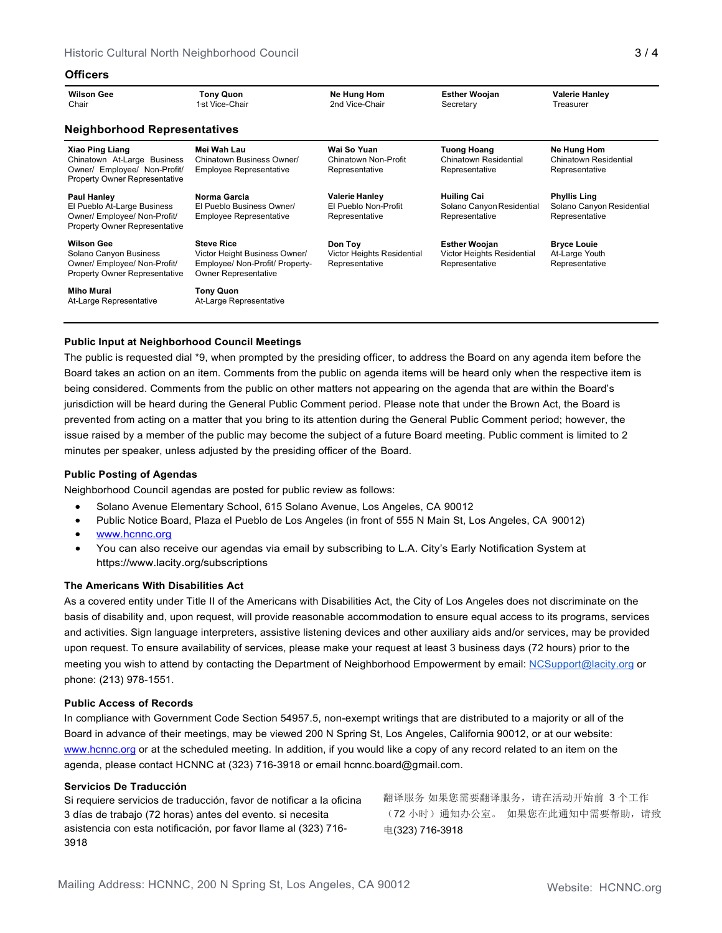## **Officers**

| <b>Wilson Gee</b><br>Chair                                                                                                    | <b>Tony Quon</b><br>1st Vice-Chair                                                                                   | Ne Hung Hom<br>2nd Vice-Chair                                   | <b>Esther Woojan</b><br>Secretary                                    | <b>Valerie Hanley</b><br>Treasurer                                 |  |  |  |
|-------------------------------------------------------------------------------------------------------------------------------|----------------------------------------------------------------------------------------------------------------------|-----------------------------------------------------------------|----------------------------------------------------------------------|--------------------------------------------------------------------|--|--|--|
| <b>Neighborhood Representatives</b>                                                                                           |                                                                                                                      |                                                                 |                                                                      |                                                                    |  |  |  |
| <b>Xiao Ping Liang</b><br>Chinatown At-Large Business<br>Owner/ Employee/ Non-Profit/<br><b>Property Owner Representative</b> | Mei Wah Lau<br>Chinatown Business Owner/<br><b>Employee Representative</b>                                           | Wai So Yuan<br>Chinatown Non-Profit<br>Representative           | <b>Tuong Hoang</b><br>Chinatown Residential<br>Representative        | Ne Hung Hom<br>Chinatown Residential<br>Representative             |  |  |  |
| <b>Paul Hanley</b><br>El Pueblo At-Large Business<br>Owner/ Employee/ Non-Profit/<br><b>Property Owner Representative</b>     | Norma Garcia<br>El Pueblo Business Owner/<br><b>Employee Representative</b>                                          | <b>Valerie Hanley</b><br>El Pueblo Non-Profit<br>Representative | <b>Huiling Cai</b><br>Solano Canyon Residential<br>Representative    | <b>Phyllis Ling</b><br>Solano Canyon Residential<br>Representative |  |  |  |
| <b>Wilson Gee</b><br>Solano Canyon Business<br>Owner/ Employee/ Non-Profit/<br><b>Property Owner Representative</b>           | <b>Steve Rice</b><br>Victor Height Business Owner/<br>Employee/ Non-Profit/ Property-<br><b>Owner Representative</b> | Don Toy<br>Victor Heights Residential<br>Representative         | <b>Esther Woojan</b><br>Victor Heights Residential<br>Representative | <b>Bryce Louie</b><br>At-Large Youth<br>Representative             |  |  |  |
| Miho Murai<br>At-Large Representative                                                                                         | <b>Tony Quon</b><br>At-Large Representative                                                                          |                                                                 |                                                                      |                                                                    |  |  |  |

## **Public Input at Neighborhood Council Meetings**

The public is requested dial \*9, when prompted by the presiding officer, to address the Board on any agenda item before the Board takes an action on an item. Comments from the public on agenda items will be heard only when the respective item is being considered. Comments from the public on other matters not appearing on the agenda that are within the Board's jurisdiction will be heard during the General Public Comment period. Please note that under the Brown Act, the Board is prevented from acting on a matter that you bring to its attention during the General Public Comment period; however, the issue raised by a member of the public may become the subject of a future Board meeting. Public comment is limited to 2 minutes per speaker, unless adjusted by the presiding officer of the Board.

## **Public Posting of Agendas**

Neighborhood Council agendas are posted for public review as follows:

- Solano Avenue Elementary School, 615 Solano Avenue, Los Angeles, CA 90012
- Public Notice Board, Plaza el Pueblo de Los Angeles (in front of 555 N Main St, Los Angeles, CA 90012)
- [www.hcnnc.org](http://www.hcnnc.org/)
- You can also receive our agendas via email by subscribing to L.A. City's Early Notification System at https:/[/www.lacity.org/subscriptions](http://www.lacity.org/subscriptions)

## **The Americans With Disabilities Act**

As a covered entity under Title II of the Americans with Disabilities Act, the City of Los Angeles does not discriminate on the basis of disability and, upon request, will provide reasonable accommodation to ensure equal access to its programs, services and activities. Sign language interpreters, assistive listening devices and other auxiliary aids and/or services, may be provided upon request. To ensure availability of services, please make your request at least 3 business days (72 hours) prior to the meeting you wish to attend by contacting the Department of Neighborhood Empowerment by email: [NCSupport@lacity.org](mailto:NCSupport@lacity.org) or phone: (213) 978-1551.

#### **Public Access of Records**

In compliance with Government Code Section 54957.5, non-exempt writings that are distributed to a majority or all of the Board in advance of their meetings, may be viewed 200 N Spring St, Los Angeles, California 90012, or at our website: [www.hcnnc.org](http://www.hcnnc.org/) or at the scheduled meeting. In addition, if you would like a copy of any record related to an item on the agenda, please contact HCNNC at (323) 716-3918 or emai[l hcnnc.board@gmail.com.](mailto:hcnnc.board@gmail.com)

#### **Servicios De Traducción**

Si requiere servicios de traducción, favor de notificar a la oficina 3 días de trabajo (72 horas) antes del evento. si necesita asistencia con esta notificación, por favor llame al (323) 716- 3918

翻译服务 如果您需要翻译服务,请在活动开始前 3 个工作 (72 小时)通知办公室。 如果您在此通知中需要帮助,请致 电(323) 716-3918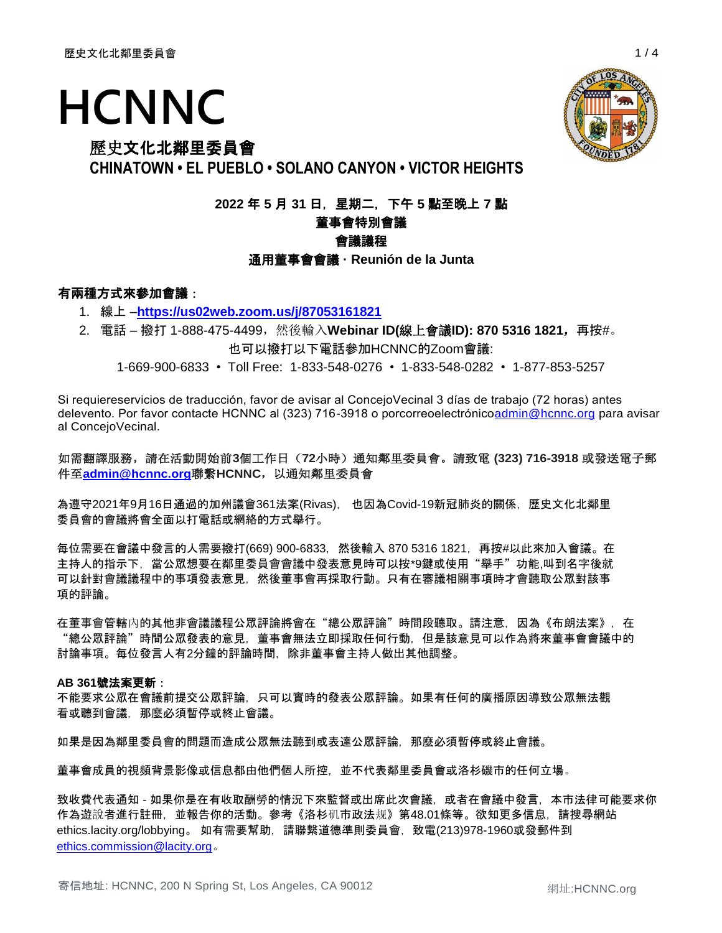# **HCNNC**

# 歷史文化北鄰里委員會

**CHINATOWN • EL PUEBLO • SOLANO CANYON • VICTOR HEIGHTS**

**2022** 年 **5** 月 **31** 日,星期二,下午 **5** 點至晚上 **7** 點

# 董事會特別會議

# 會議議程

通用董事會會議 **· Reunión de la Junta**

# 有兩種方式來參加會議:

- 1. 線上 –**<https://us02web.zoom.us/j/87053161821>**
- 2. 電話 撥打 1-888-475-4499,然後輸入**Webinar ID(**線上會議**ID): 870 5316 1821**,再按#。 也可以撥打以下電話參加HCNNC的Zoom會議:

1-669-900-6833 • Toll Free: 1-833-548-0276 • 1-833-548-0282 • 1-877-853-5257

Si requiereservicios de traducción, favor de avisar al ConcejoVecinal 3 días de trabajo (72 horas) antes delevento. Por favor contacte HCNNC al (323) 716-3918 o porcorreoelectrónic[oadmin@hcnnc.org](mailto:admin@hcnnc.org) para avisar al ConcejoVecinal.

## 如需翻譯服務,請在活動開始前**3**個工作日(**72**小時)通知鄰里委員會。請致電 **(323) 716-3918** 或發送電子郵 件至**[admin@hcnnc.org](mailto:admin@hcnnc.org)**聯繫**HCNNC**,以通知鄰里委員會

為遵守2021年9月16日通過的加州議會361法案(Rivas), 也因為Covid-19新冠肺炎的關係,歷史文化北鄰里 委員會的會議將會全面以打電話或網絡的方式舉行。

每位需要在會議中發言的人需要撥打(669) 900-6833,然後輸入 870 5316 1821,再按#以此來加入會議。在 主持人的指示下,當公眾想要在鄰里委員會會議中發表意見時可以按\*9鍵或使用"舉手"功能,叫到名字後就 可以針對會議議程中的事項發表意見,然後董事會再採取行動。只有在審議相關事項時才會聽取公眾對該事 項的評論。

在董事會管轄內的其他非會議議程公眾評論將會在"總公眾評論"時間段聽取。請注意,因為《布朗法案》,在 "總公眾評論"時間公眾發表的意見,董事會無法立即採取任何行動,但是該意見可以作為將來董事會會議中的 討論事項。每位發言人有2分鐘的評論時間,除非董事會主持人做出其他調整。

## **AB 361**號法案更新:

不能要求公眾在會議前提交公眾評論,只可以實時的發表公眾評論。如果有任何的廣播原因導致公眾無法觀 看或聽到會議,那麼必須暫停或終止會議。

如果是因為鄰里委員會的問題而造成公眾無法聽到或表達公眾評論,那麼必須暫停或終止會議。

董事會成員的視頻背景影像或信息都由他們個人所控,並不代表鄰里委員會或洛杉磯市的任何立場。

致收費代表通知 - 如果你是在有收取酬勞的情況下來監督或出席此次會議,或者在會議中發言,本市法律可能要求你 作為遊說者進行註冊,並報告你的活動。參考《洛杉矶市政法规》第48.01條等。欲知更多信息,請搜尋網站 ethics.lacity.org/lobbying。 如有需要幫助,請聯繫道德準則委員會,致電(213)978-1960或發郵件到 [ethics.commission@lacity.org](mailto:ethics.commission@lacity.org)。

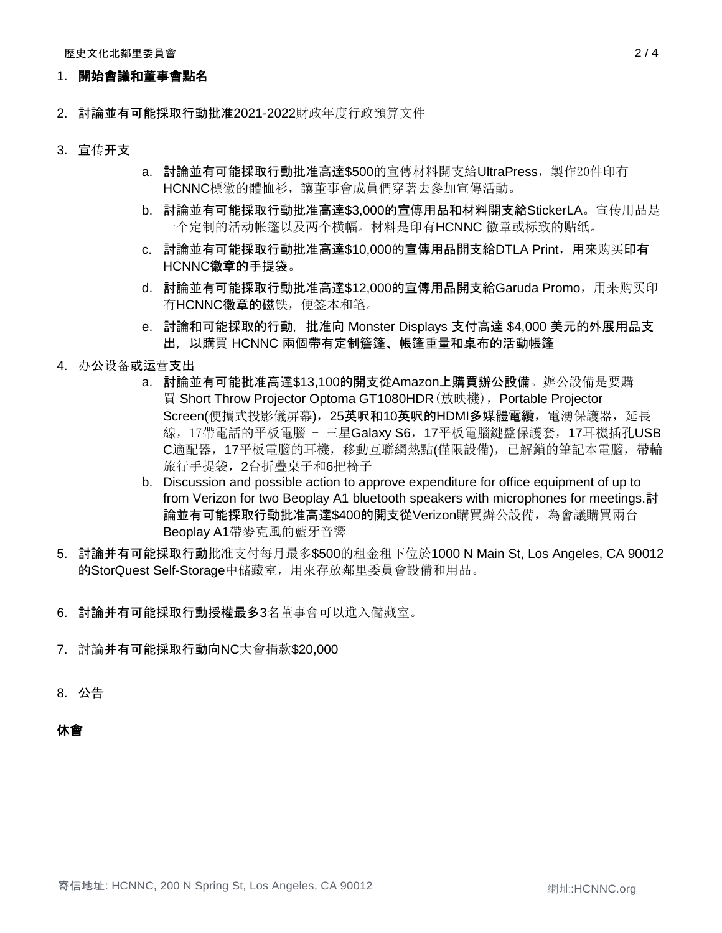## 1. 開始會議和董事會點名

- 2. 討論並有可能採取行動批准2021-2022財政年度行政預算文件
- 3. 宣传开支
- a. 討論並有可能採取行動批准高達\$500的宣傳材料開支給UltraPress,製作20件印有 HCNNC標徽的體恤衫,讓董事會成員們穿著去參加宣傳活動。
- b. 討論並有可能採取行動批准高達\$3,000的宣傳用品和材料開支給StickerLA。宣传用品是 一个定制的活动帐篷以及两个横幅。材料是印有HCNNC 徽章或标致的贴纸。
- c. 討論並有可能採取行動批准高達\$10,000的宣傳用品開支給DTLA Print,用来购买印有 HCNNC徽章的手提袋。
- d. 討論並有可能採取行動批准高達\$12,000的宣傳用品開支給Garuda Promo,用来购买印 有HCNNC徽章的磁铁,便签本和笔。
- e. 討論和可能採取的行動,批准向 Monster Displays 支付高達 \$4,000 美元的外展用品支 出,以購買 HCNNC 兩個帶有定制簷篷、帳篷重量和桌布的活動帳篷
- 4. 办公设备或运营支出
	- a. 討論並有可能批准高達\$13,100的開支從Amazon上購買辦公設備。辦公設備是要購 買 Short Throw Projector Optoma GT1080HDR(放映機),Portable Projector Screen(便攜式投影儀屏幕), 25英呎和10英呎的HDMI多媒體電纜, 電湧保護器, 延長 線, 17帶電話的平板電腦 - 三星Galaxy S6, 17平板電腦鍵盤保護套, 17耳機插孔USB C適配器,17平板電腦的耳機,移動互聯網熱點(僅限設備),已解鎖的筆記本電腦,帶輪 旅行手提袋,2台折疊桌子和6把椅子
	- b. Discussion and possible action to approve expenditure for office equipment of up to from Verizon for two Beoplay A1 bluetooth speakers with microphones for meetings.討 論並有可能採取行動批准高達\$400的開支從Verizon購買辦公設備,為會議購買兩台 Beoplay A1帶麥克風的藍牙音響
- 5. 討論并有可能採取行動批准支付每月最多\$500的租金租下位於1000 N Main St, Los Angeles, CA 90012 的StorQuest Self-Storage中储藏室,用來存放鄰里委員會設備和用品。
- 6. 討論并有可能採取行動授權最多3名董事會可以進入儲藏室。
- 7. 討論并有可能採取行動向NC大會捐款\$20,000
- 8. 公告

## 休會